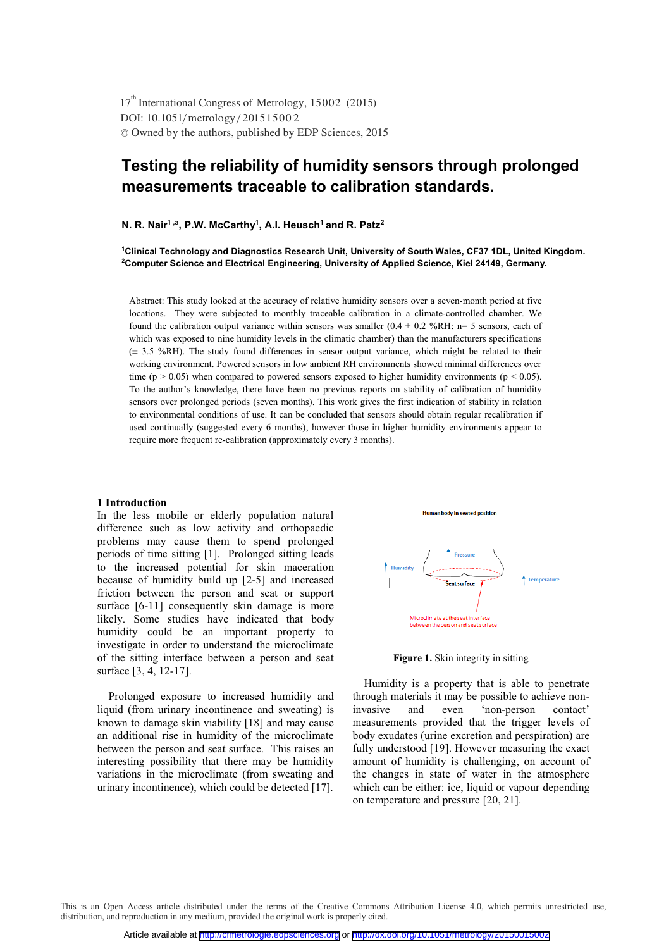DOI: 10.1051/metrology/201515002 -<sup>C</sup> Owned by the authors, published by EDP Sciences, 2015 17<sup>th</sup> International Congress of Metrology, 15002 (2015)

# **Testing the reliability of humidity sensors through prolonged measurements traceable to calibration standards.**

**N. R. Nair1 ,a, P.W. McCarthy1, A.I. Heusch1 and R. Patz2**

<sup>1</sup>Clinical Technology and Diagnostics Research Unit, University of South Wales, CF37 1DL, United Kingdom.<br><sup>2</sup>Computer Science and Electrical Engineering, University of Applied Science, Kiel 24149, Germany **Computer Science and Electrical Engineering, University of Applied Science, Kiel 24149, Germany.**

Abstract: This study looked at the accuracy of relative humidity sensors over a seven-month period at five locations. They were subjected to monthly traceable calibration in a climate-controlled chamber. We found the calibration output variance within sensors was smaller  $(0.4 \pm 0.2 \frac{\text{W}}{\text{R}})$  n= 5 sensors, each of which was exposed to nine humidity levels in the climatic chamber) than the manufacturers specifications  $(\pm 3.5 \, \frac{\%RH}{\#H})$ . The study found differences in sensor output variance, which might be related to their working environment. Powered sensors in low ambient RH environments showed minimal differences over time ( $p > 0.05$ ) when compared to powered sensors exposed to higher humidity environments ( $p < 0.05$ ). To the author's knowledge, there have been no previous reports on stability of calibration of humidity sensors over prolonged periods (seven months). This work gives the first indication of stability in relation to environmental conditions of use. It can be concluded that sensors should obtain regular recalibration if used continually (suggested every 6 months), however those in higher humidity environments appear to require more frequent re-calibration (approximately every 3 months).

#### **1 Introduction**

In the less mobile or elderly population natural difference such as low activity and orthopaedic problems may cause them to spend prolonged periods of time sitting [1]. Prolonged sitting leads to the increased potential for skin maceration because of humidity build up [2-5] and increased friction between the person and seat or support surface [6-11] consequently skin damage is more likely. Some studies have indicated that body humidity could be an important property to investigate in order to understand the microclimate of the sitting interface between a person and seat surface [3, 4, 12-17].

 Prolonged exposure to increased humidity and liquid (from urinary incontinence and sweating) is known to damage skin viability [18] and may cause an additional rise in humidity of the microclimate between the person and seat surface. This raises an interesting possibility that there may be humidity variations in the microclimate (from sweating and urinary incontinence), which could be detected [17].



**Figure 1.** Skin integrity in sitting

 Humidity is a property that is able to penetrate through materials it may be possible to achieve non-<br>invasive and even 'non-person contact' invasive and even 'non-person contact' measurements provided that the trigger levels of body exudates (urine excretion and perspiration) are fully understood [19]. However measuring the exact amount of humidity is challenging, on account of the changes in state of water in the atmosphere which can be either: ice, liquid or vapour depending on temperature and pressure [20, 21].

This is an Open Access article distributed under the terms of the Creative Commons Attribution License 4.0, which permits unrestricted use, distribution, and reproduction in any medium, provided the original work is properly cited.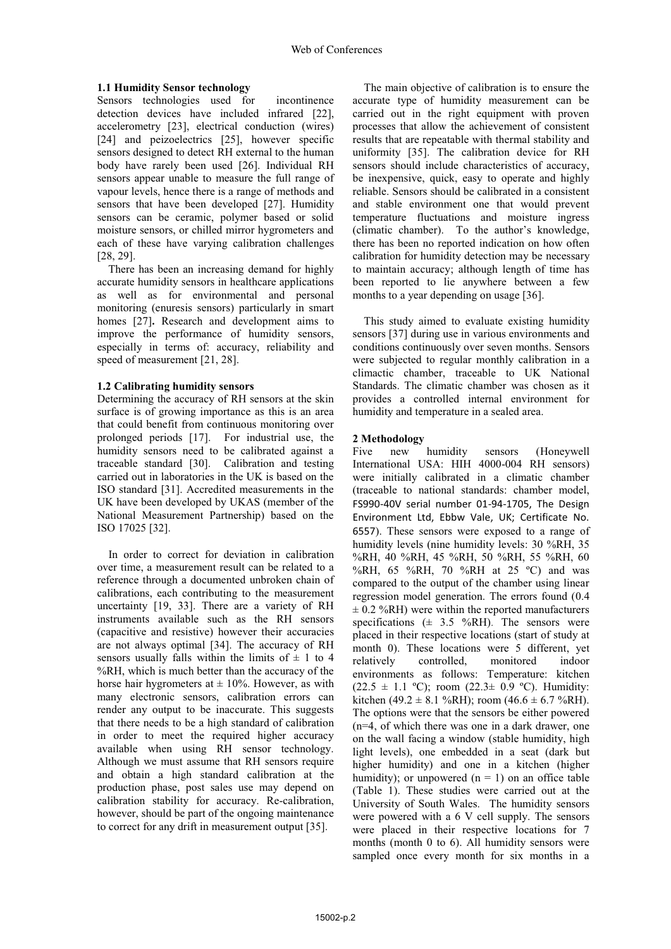## **1.1 Humidity Sensor technology**

Sensors technologies used for incontinence detection devices have included infrared [22], accelerometry [23], electrical conduction (wires) [24] and peizoelectrics [25], however specific sensors designed to detect RH external to the human body have rarely been used [26]. Individual RH sensors appear unable to measure the full range of vapour levels, hence there is a range of methods and sensors that have been developed [27]. Humidity sensors can be ceramic, polymer based or solid moisture sensors, or chilled mirror hygrometers and each of these have varying calibration challenges [28, 29].

There has been an increasing demand for highly accurate humidity sensors in healthcare applications as well as for environmental and personal monitoring (enuresis sensors) particularly in smart homes [27]**.** Research and development aims to improve the performance of humidity sensors, especially in terms of: accuracy, reliability and speed of measurement [21, 28].

## **1.2 Calibrating humidity sensors**

Determining the accuracy of RH sensors at the skin surface is of growing importance as this is an area that could benefit from continuous monitoring over prolonged periods [17]. For industrial use, the humidity sensors need to be calibrated against a traceable standard [30]. Calibration and testing carried out in laboratories in the UK is based on the ISO standard [31]. Accredited measurements in the UK have been developed by UKAS (member of the National Measurement Partnership) based on the ISO 17025 [32].

In order to correct for deviation in calibration over time, a measurement result can be related to a reference through a documented unbroken chain of calibrations, each contributing to the measurement uncertainty [19, 33]. There are a variety of RH instruments available such as the RH sensors (capacitive and resistive) however their accuracies are not always optimal [34]. The accuracy of RH sensors usually falls within the limits of  $\pm$  1 to 4 %RH, which is much better than the accuracy of the horse hair hygrometers at  $\pm$  10%. However, as with many electronic sensors, calibration errors can render any output to be inaccurate. This suggests that there needs to be a high standard of calibration in order to meet the required higher accuracy available when using RH sensor technology. Although we must assume that RH sensors require and obtain a high standard calibration at the production phase, post sales use may depend on calibration stability for accuracy. Re-calibration, however, should be part of the ongoing maintenance to correct for any drift in measurement output [35].

The main objective of calibration is to ensure the accurate type of humidity measurement can be carried out in the right equipment with proven processes that allow the achievement of consistent results that are repeatable with thermal stability and uniformity [35]. The calibration device for RH sensors should include characteristics of accuracy, be inexpensive, quick, easy to operate and highly reliable. Sensors should be calibrated in a consistent and stable environment one that would prevent temperature fluctuations and moisture ingress (climatic chamber). To the author's knowledge, there has been no reported indication on how often calibration for humidity detection may be necessary to maintain accuracy; although length of time has been reported to lie anywhere between a few months to a year depending on usage [36].

This study aimed to evaluate existing humidity sensors [37] during use in various environments and conditions continuously over seven months. Sensors were subjected to regular monthly calibration in a climactic chamber, traceable to UK National Standards. The climatic chamber was chosen as it provides a controlled internal environment for humidity and temperature in a sealed area.

# **2 Methodology**

Five new humidity sensors (Honeywell International USA: HIH 4000-004 RH sensors) were initially calibrated in a climatic chamber (traceable to national standards: chamber model, FS990-40V serial number 01-94-1705, The Design Environment Ltd, Ebbw Vale, UK; Certificate No. 6557). These sensors were exposed to a range of humidity levels (nine humidity levels: 30 %RH, 35 %RH, 40 %RH, 45 %RH, 50 %RH, 55 %RH, 60 %RH, 65 %RH, 70 %RH at 25 °C) and was compared to the output of the chamber using linear regression model generation. The errors found (0.4  $\pm$  0.2 %RH) were within the reported manufacturers specifications  $(\pm 3.5 \text{ %RH})$ . The sensors were placed in their respective locations (start of study at month 0). These locations were 5 different, yet relatively controlled, monitored indoor environments as follows: Temperature: kitchen  $(22.5 \pm 1.1 \text{ °C})$ ; room  $(22.3 \pm 0.9 \text{ °C})$ . Humidity: kitchen (49.2 ± 8.1 %RH); room (46.6 ± 6.7 %RH). The options were that the sensors be either powered (n=4, of which there was one in a dark drawer, one on the wall facing a window (stable humidity, high light levels), one embedded in a seat (dark but higher humidity) and one in a kitchen (higher humidity); or unpowered  $(n = 1)$  on an office table (Table 1). These studies were carried out at the University of South Wales. The humidity sensors were powered with a 6 V cell supply. The sensors were placed in their respective locations for 7 months (month 0 to 6). All humidity sensors were sampled once every month for six months in a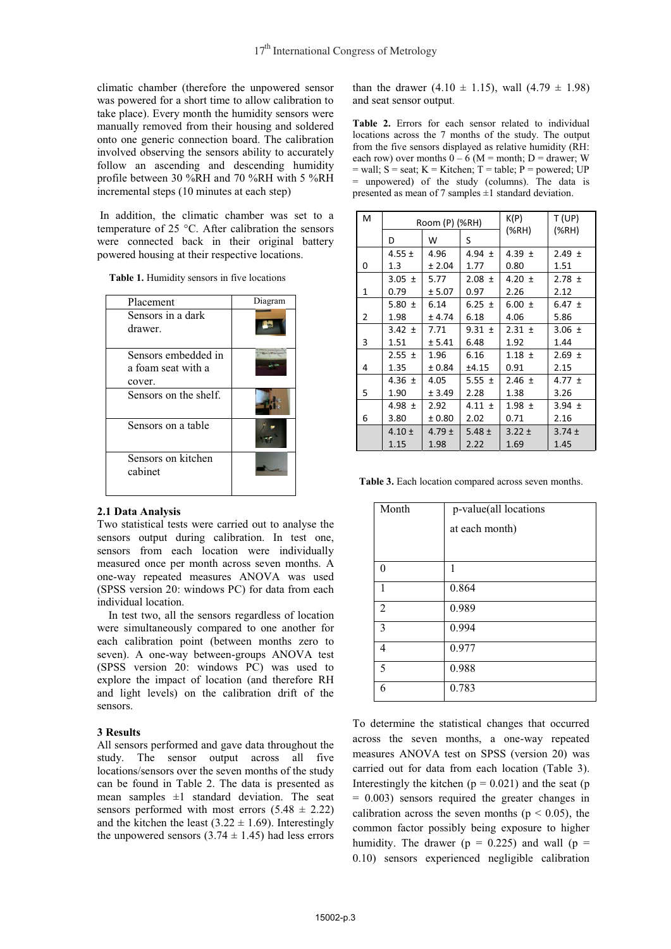climatic chamber (therefore the unpowered sensor was powered for a short time to allow calibration to take place). Every month the humidity sensors were manually removed from their housing and soldered onto one generic connection board. The calibration involved observing the sensors ability to accurately follow an ascending and descending humidity profile between 30 %RH and 70 %RH with 5 %RH incremental steps (10 minutes at each step)

 In addition, the climatic chamber was set to a temperature of 25 °C. After calibration the sensors were connected back in their original battery powered housing at their respective locations.

| Placement                     | Diagram |
|-------------------------------|---------|
| Sensors in a dark             |         |
| drawer.                       |         |
| Sensors embedded in           |         |
| a foam seat with a            |         |
| cover.                        |         |
| Sensors on the shelf.         |         |
| Sensors on a table            |         |
| Sensors on kitchen<br>cabinet |         |

 **Table 1.** Humidity sensors in five locations

#### **2.1 Data Analysis**

Two statistical tests were carried out to analyse the sensors output during calibration. In test one, sensors from each location were individually measured once per month across seven months. A one-way repeated measures ANOVA was used (SPSS version 20: windows PC) for data from each individual location.

In test two, all the sensors regardless of location were simultaneously compared to one another for each calibration point (between months zero to seven). A one-way between-groups ANOVA test (SPSS version 20: windows PC) was used to explore the impact of location (and therefore RH and light levels) on the calibration drift of the sensors.

#### **3 Results**

All sensors performed and gave data throughout the study. The sensor output across all five locations/sensors over the seven months of the study can be found in Table 2. The data is presented as mean samples  $\pm 1$  standard deviation. The seat sensors performed with most errors  $(5.48 \pm 2.22)$ and the kitchen the least  $(3.22 \pm 1.69)$ . Interestingly the unpowered sensors  $(3.74 \pm 1.45)$  had less errors

than the drawer  $(4.10 \pm 1.15)$ , wall  $(4.79 \pm 1.98)$ and seat sensor output.

**Table 2.** Errors for each sensor related to individual locations across the 7 months of the study. The output from the five sensors displayed as relative humidity (RH: each row) over months  $0 - 6$  (M = month; D = drawer; W  $=$  wall;  $S =$  seat;  $K =$  Kitchen;  $T =$  table;  $P =$  powered; UP = unpowered) of the study (columns). The data is presented as mean of 7 samples  $\pm 1$  standard deviation.

| м | Room (P) (%RH) |            |            | K(P)       | T (UP)     |
|---|----------------|------------|------------|------------|------------|
|   | D              | W          | S          | (%H)       | (%RH)      |
|   | 4.55 $\pm$     | 4.96       | 4.94 $\pm$ | 4.39 $\pm$ | $2.49 \pm$ |
| 0 | 1.3            | ± 2.04     | 1.77       | 0.80       | 1.51       |
|   | $3.05 \pm$     | 5.77       | $2.08 \pm$ | 4.20 $\pm$ | $2.78 \pm$ |
| 1 | 0.79           | ± 5.07     | 0.97       | 2.26       | 2.12       |
|   | 5.80 $\pm$     | 6.14       | 6.25 $\pm$ | 6.00 $\pm$ | 6.47 $\pm$ |
| 2 | 1.98           | ± 4.74     | 6.18       | 4.06       | 5.86       |
|   | $3.42 \pm$     | 7.71       | $9.31 \pm$ | $2.31 \pm$ | $3.06 \pm$ |
| 3 | 1.51           | ± 5.41     | 6.48       | 1.92       | 1.44       |
|   | $2.55 \pm$     | 1.96       | 6.16       | $1.18 \pm$ | $2.69 \pm$ |
| 4 | 1.35           | ± 0.84     | ±4.15      | 0.91       | 2.15       |
|   | 4.36 $\pm$     | 4.05       | $5.55 \pm$ | $2.46 \pm$ | 4.77 $\pm$ |
| 5 | 1.90           | ± 3.49     | 2.28       | 1.38       | 3.26       |
|   | 4.98 $\pm$     | 2.92       | 4.11 $\pm$ | $1.98 \pm$ | $3.94 \pm$ |
| 6 | 3.80           | ± 0.80     | 2.02       | 0.71       | 2.16       |
|   | $4.10 \pm$     | $4.79 \pm$ | $5.48 \pm$ | $3.22 \pm$ | $3.74 \pm$ |
|   | 1.15           | 1.98       | 2.22       | 1.69       | 1.45       |

**Table 3.** Each location compared across seven months.

| Month          | p-value(all locations<br>at each month) |
|----------------|-----------------------------------------|
| 0              | 1                                       |
| 1              | 0.864                                   |
| $\overline{2}$ | 0.989                                   |
| 3              | 0.994                                   |
| 4              | 0.977                                   |
| 5              | 0.988                                   |
| 6              | 0.783                                   |

To determine the statistical changes that occurred across the seven months, a one-way repeated measures ANOVA test on SPSS (version 20) was carried out for data from each location (Table 3). Interestingly the kitchen ( $p = 0.021$ ) and the seat ( $p = 0.021$ ) = 0.003) sensors required the greater changes in calibration across the seven months ( $p < 0.05$ ), the common factor possibly being exposure to higher humidity. The drawer ( $p = 0.225$ ) and wall ( $p =$ 0.10) sensors experienced negligible calibration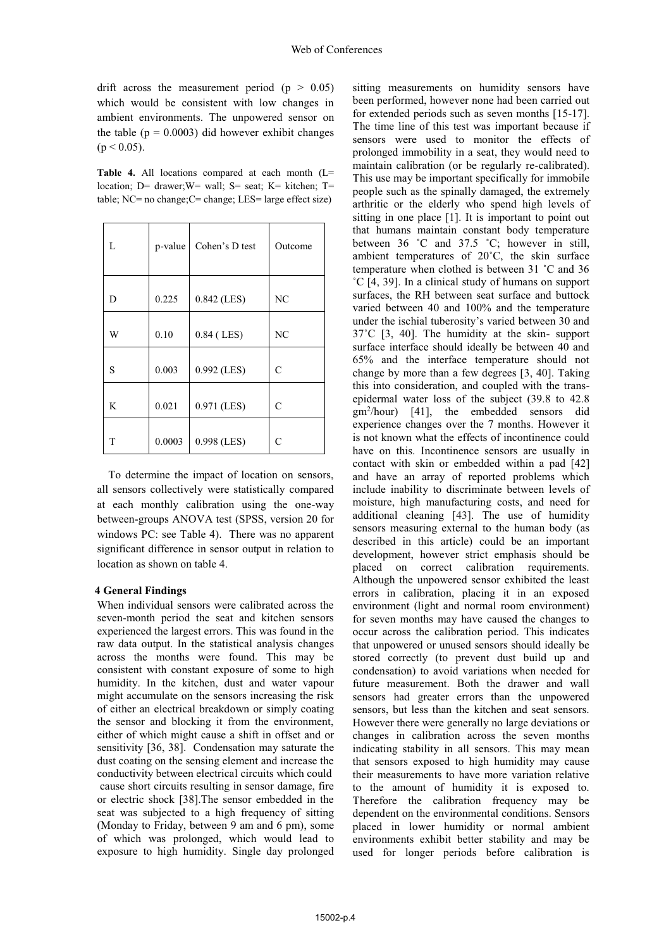drift across the measurement period ( $p > 0.05$ ) which would be consistent with low changes in ambient environments. The unpowered sensor on the table ( $p = 0.0003$ ) did however exhibit changes  $(p < 0.05)$ .

**Table 4.** All locations compared at each month (L= location: D= drawer; W= wall; S= seat; K= kitchen; T= table; NC= no change;C= change; LES= large effect size)

| L | p-value | Cohen's D test | Outcome        |
|---|---------|----------------|----------------|
| D | 0.225   | 0.842 (LES)    | NC             |
| W | 0.10    | 0.84 (LES)     | N <sub>C</sub> |
| S | 0.003   | 0.992 (LES)    | $\mathcal{C}$  |
| K | 0.021   | 0.971 (LES)    | $\mathcal{C}$  |
| Τ | 0.0003  | 0.998 (LES)    | C              |

To determine the impact of location on sensors, all sensors collectively were statistically compared at each monthly calibration using the one-way between-groups ANOVA test (SPSS, version 20 for windows PC: see Table 4). There was no apparent significant difference in sensor output in relation to location as shown on table 4.

#### **4 General Findings**

When individual sensors were calibrated across the seven-month period the seat and kitchen sensors experienced the largest errors. This was found in the raw data output. In the statistical analysis changes across the months were found. This may be consistent with constant exposure of some to high humidity. In the kitchen, dust and water vapour might accumulate on the sensors increasing the risk of either an electrical breakdown or simply coating the sensor and blocking it from the environment, either of which might cause a shift in offset and or sensitivity [36, 38]. Condensation may saturate the dust coating on the sensing element and increase the conductivity between electrical circuits which could cause short circuits resulting in sensor damage, fire or electric shock [38].The sensor embedded in the seat was subjected to a high frequency of sitting (Monday to Friday, between 9 am and 6 pm), some of which was prolonged, which would lead to exposure to high humidity. Single day prolonged

sitting measurements on humidity sensors have been performed, however none had been carried out for extended periods such as seven months [15-17]. The time line of this test was important because if sensors were used to monitor the effects of prolonged immobility in a seat, they would need to maintain calibration (or be regularly re-calibrated). This use may be important specifically for immobile people such as the spinally damaged, the extremely arthritic or the elderly who spend high levels of sitting in one place [1]. It is important to point out that humans maintain constant body temperature between 36 ˚C and 37.5 ˚C; however in still, ambient temperatures of 20˚C, the skin surface temperature when clothed is between 31 ˚C and 36 ˚C [4, 39]. In a clinical study of humans on support surfaces, the RH between seat surface and buttock varied between 40 and 100% and the temperature under the ischial tuberosity's varied between 30 and 37˚C [3, 40]. The humidity at the skin- support surface interface should ideally be between 40 and 65% and the interface temperature should not change by more than a few degrees [3, 40]. Taking this into consideration, and coupled with the transepidermal water loss of the subject (39.8 to 42.8 gm2 /hour) [41], the embedded sensors did experience changes over the 7 months. However it is not known what the effects of incontinence could have on this. Incontinence sensors are usually in contact with skin or embedded within a pad [42] and have an array of reported problems which include inability to discriminate between levels of moisture, high manufacturing costs, and need for additional cleaning [43]. The use of humidity sensors measuring external to the human body (as described in this article) could be an important development, however strict emphasis should be placed on correct calibration requirements. Although the unpowered sensor exhibited the least errors in calibration, placing it in an exposed environment (light and normal room environment) for seven months may have caused the changes to occur across the calibration period. This indicates that unpowered or unused sensors should ideally be stored correctly (to prevent dust build up and condensation) to avoid variations when needed for future measurement. Both the drawer and wall sensors had greater errors than the unpowered sensors, but less than the kitchen and seat sensors. However there were generally no large deviations or changes in calibration across the seven months indicating stability in all sensors. This may mean that sensors exposed to high humidity may cause their measurements to have more variation relative to the amount of humidity it is exposed to. Therefore the calibration frequency may be dependent on the environmental conditions. Sensors placed in lower humidity or normal ambient environments exhibit better stability and may be used for longer periods before calibration is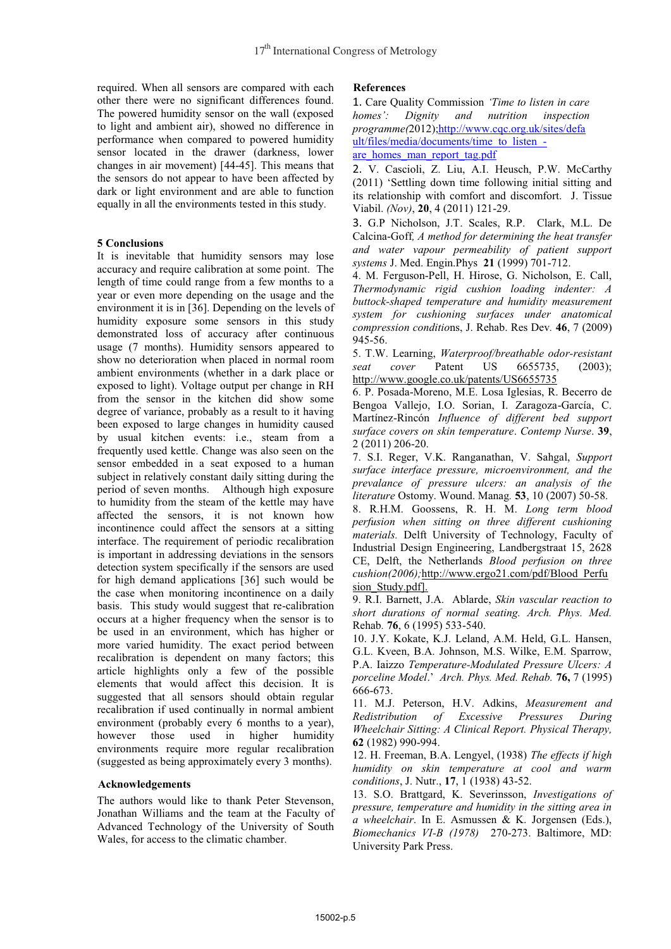required. When all sensors are compared with each other there were no significant differences found. The powered humidity sensor on the wall (exposed to light and ambient air), showed no difference in performance when compared to powered humidity sensor located in the drawer (darkness, lower changes in air movement) [44-45]. This means that the sensors do not appear to have been affected by dark or light environment and are able to function equally in all the environments tested in this study.

## **5 Conclusions**

It is inevitable that humidity sensors may lose accuracy and require calibration at some point. The length of time could range from a few months to a year or even more depending on the usage and the environment it is in [36]. Depending on the levels of humidity exposure some sensors in this study demonstrated loss of accuracy after continuous usage (7 months). Humidity sensors appeared to show no deterioration when placed in normal room ambient environments (whether in a dark place or exposed to light). Voltage output per change in RH from the sensor in the kitchen did show some degree of variance, probably as a result to it having been exposed to large changes in humidity caused by usual kitchen events: i.e., steam from a frequently used kettle. Change was also seen on the sensor embedded in a seat exposed to a human subject in relatively constant daily sitting during the period of seven months. Although high exposure to humidity from the steam of the kettle may have affected the sensors, it is not known how incontinence could affect the sensors at a sitting interface. The requirement of periodic recalibration is important in addressing deviations in the sensors detection system specifically if the sensors are used for high demand applications [36] such would be the case when monitoring incontinence on a daily basis. This study would suggest that re-calibration occurs at a higher frequency when the sensor is to be used in an environment, which has higher or more varied humidity. The exact period between recalibration is dependent on many factors; this article highlights only a few of the possible elements that would affect this decision. It is suggested that all sensors should obtain regular recalibration if used continually in normal ambient environment (probably every 6 months to a year), however those used in higher humidity environments require more regular recalibration (suggested as being approximately every 3 months).

#### **Acknowledgements**

The authors would like to thank Peter Stevenson, Jonathan Williams and the team at the Faculty of Advanced Technology of the University of South Wales, for access to the climatic chamber.

## **References**

1. Care Quality Commission *'Time to listen in care homes': Dignity and nutrition inspection programme(*2012);http://www.cqc.org.uk/sites/defa ult/files/media/documents/time\_to\_listen\_are\_homes\_man\_report\_tag.pdf

2. V. Cascioli, Z. Liu, A.I. Heusch, P.W. McCarthy (2011) 'Settling down time following initial sitting and its relationship with comfort and discomfort. J. Tissue Viabil. *(Nov)*, **20**, 4 (2011) 121-29.

3. G.P Nicholson, J.T. Scales, R.P. Clark, M.L. De Calcina-Goff*, A method for determining the heat transfer and water vapour permeability of patient support systems* J. Med. Engin.Phys **21** (1999) 701-712.

4. M. Ferguson-Pell, H. Hirose, G. Nicholson, E. Call, *Thermodynamic rigid cushion loading indenter: A buttock-shaped temperature and humidity measurement system for cushioning surfaces under anatomical compression conditio*ns, J. Rehab. Res Dev*.* **46**, 7 (2009) 945-56.

5. T.W. Learning, *Waterproof/breathable odor-resistant seat cover* Patent US 6655735, (2003); http://www.google.co.uk/patents/US6655735

6. P. Posada-Moreno, M.E. Losa Iglesias, R. Becerro de Bengoa Vallejo, I.O. Sorian, I. Zaragoza-García, C. Martínez-Rincón *Influence of different bed support surface covers on skin temperature*. *Contemp Nurse*. **39**, 2 (2011) 206-20.

7. S.I. Reger, V.K. Ranganathan, V. Sahgal, *Support surface interface pressure, microenvironment, and the prevalance of pressure ulcers: an analysis of the literature* Ostomy. Wound. Manag*.* **53**, 10 (2007) 50-58. 8. R.H.M. Goossens, R. H. M. *Long term blood* 

*perfusion when sitting on three different cushioning materials.* Delft University of Technology, Faculty of Industrial Design Engineering, Landbergstraat 15, 2628 CE, Delft, the Netherlands *Blood perfusion on three cushion(2006);*http://www.ergo21.com/pdf/Blood\_Perfu sion\_Study.pdf].

9. R.I. Barnett, J.A. Ablarde, *Skin vascular reaction to short durations of normal seating. Arch. Phys. Med.*  Rehab*.* **76**, 6 (1995) 533-540.

10. J.Y. Kokate, K.J. Leland, A.M. Held, G.L. Hansen, G.L. Kveen, B.A. Johnson, M.S. Wilke, E.M. Sparrow, P.A. Iaizzo *Temperature-Modulated Pressure Ulcers: A porceline Model*.' *Arch. Phys. Med. Rehab.* **76,** 7 (1995) 666-673.

11. M.J. Peterson, H.V. Adkins, *Measurement and Redistribution of Excessive Pressures During Wheelchair Sitting: A Clinical Report. Physical Therapy,* **62** (1982) 990-994.

12. H. Freeman, B.A. Lengyel, (1938) *The effects if high humidity on skin temperature at cool and warm conditions*, J. Nutr., **17**, 1 (1938) 43-52.

13. S.O. Brattgard, K. Severinsson, *Investigations of pressure, temperature and humidity in the sitting area in a wheelchair*. In E. Asmussen & K. Jorgensen (Eds.), *Biomechanics VI-B (1978)* 270-273. Baltimore, MD: University Park Press.